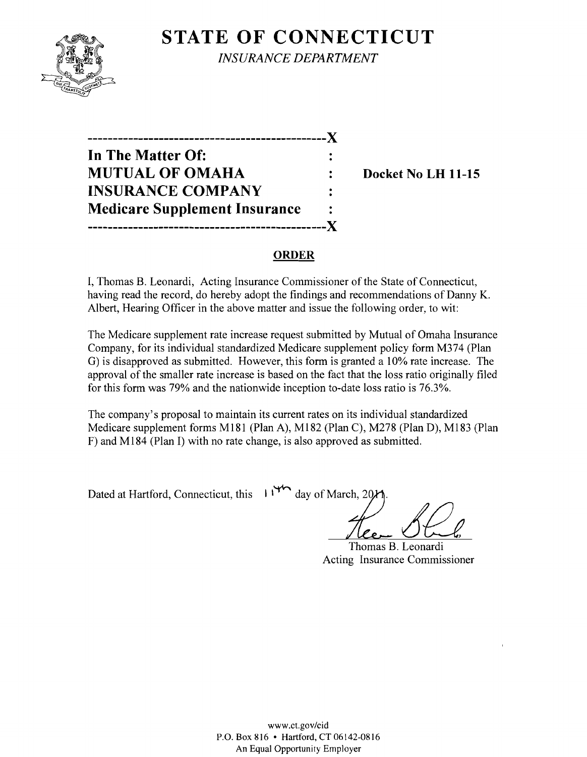# **STATE OF CONNECTICUT**



*INSURANCE DEPARTMENT* 

**-----------------------------------------------)( In The Matter Of: MUTUAL OF OMAHA : Docket No LH 11-15 INSURANCE COMPANY Medicare Supplement Insurance -----------------------------------------------)(** 

## **ORDER**

I, Thomas B. Leonardi, Acting Insurance Commissioner of the State of Connecticut, having read the record, do hereby adopt the findings and recommendations of Danny K. Albert, Hearing Officer in the above matter and issue the following order, to wit:

The Medicare supplement rate increase request submitted by Mutual of Omaha Insurance Company, for its individual standardized Medicare supplement policy form M374 (Plan G) is disapproved as submitted. However, this form is granted a 10% rate increase. The approval of the smaller rate increase is based on the fact that the loss ratio originally filed for this form was 79% and the nationwide inception to-date loss ratio is 76.3%.

The company's proposal to maintain its current rates on its individual standardized Medicare supplement forms M181 (Plan A), M182 (Plan C), M278 (Plan D), M183 (Plan F) and M184 (Plan I) with no rate change, is also approved as submitted.

Dated at Hartford, Connecticut, this 1<sup>146</sup> day of March. 201

Thomas B. Leonardi Acting Insurance Commissioner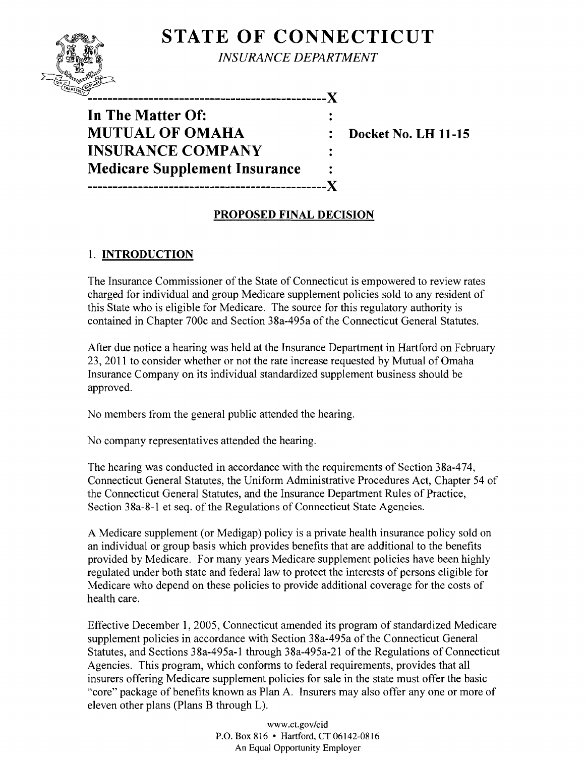# **STATE OF CONNECTICUT**



*INSURANCE DEPARTMENT* 

**-----------------------------------------------)(** 

**In The Matter Of: MUTUAL OF OMAHA : Docket No. LH 11-15 INSURANCE COMPANY Medicare Supplement Insurance -----------------------------------------------)(** 

# **PROPOSED FINAL DECISION**

# 1. **INTRODUCTION**

The Insurance Commissioner of the State of Connecticut is empowered to review rates charged for individual and group Medicare supplement policies sold to any resident of this State who is eligible for Medicare. The source for this regulatory authority is contained in Chapter 700c and Section 38a-495a of the Connecticut General Statutes.

After due notice a hearing was held at the Insurance Department in Hartford on February 23, 201 1 to consider whether or not the rate increase requested by Mutual of Omaha Insurance Company on its individual standardized supplement business should be approved.

No members from the general public attended the hearing.

No company representatives attended the hearing.

The hearing was conducted in accordance with the requirements of Section 38a-474, Connecticut General Statutes, the Uniform Administrative Procedures Act, Chapter 54 of the Connecticut General Statutes, and the Insurance Department Rules of Practice, Section 38a-8-1 et seq. of the Regulations of Connecticut State Agencies.

A Medicare supplement (or Medigap) policy is a private health insurance policy sold on an individual or group basis which provides benefits that are additional to the benefits provided by Medicare. For many years Medicare supplement policies have been highly regulated under both state and federal law to protect the interests of persons eligible for Medicare who depend on these policies to provide additional coverage for the costs of health care.

Effective December 1, 2005, Connecticut amended its program of standardized Medicare supplement policies in accordance with Section 38a-495a of the Connecticut General Statutes, and Sections 38a-495a-l through 38a-495a-21 of the Regulations of Connecticut Agencies. This program, which conforms to federal requirements, provides that all insurers offering Medicare supplement policies for sale in the state must offer the basic "core" package of benefits known as Plan A. Insurers may also offer anyone or more of eleven other plans (Plans B through L).

> www.cLgov/cid P.O. Box 816 • Hartford, CT 06142-0816 An Equal Opportunity Employer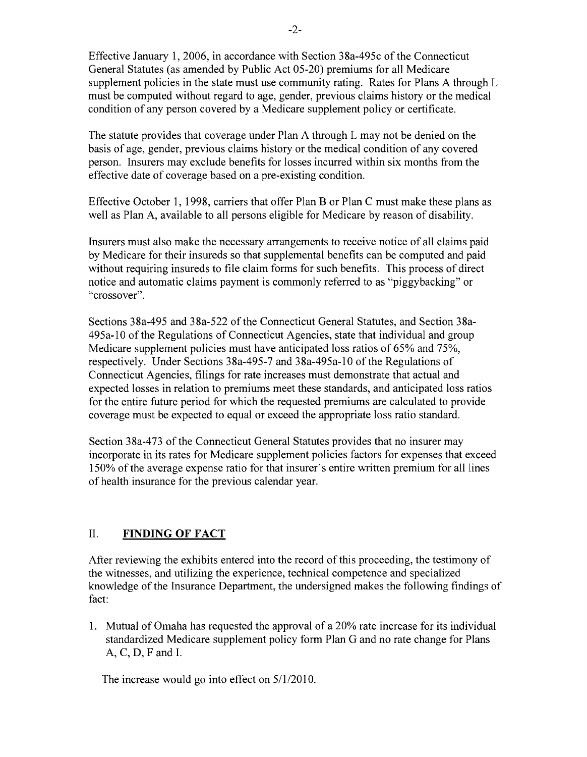Effective January 1,2006, in accordance with Section 38a-495c of the Connecticut General Statutes (as amended by Public Act 05-20) premiums for all Medicare supplement policies in the state must use community rating. Rates for Plans A through L must be computed without regard to age, gender, previous claims history or the medical condition of any person covered by a Medicare supplement policy or certificate.

The statute provides that coverage under Plan A through L may not be denied on the basis of age, gender, previous claims history or the medical condition of any covered person. Insurers may exclude benefits for losses incurred within six months from the effective date of coverage based on a pre-existing condition.

Effective October 1, 1998, carriers that offer Plan B or Plan C must make these plans as well as Plan A, available to all persons eligible for Medicare by reason of disability.

Insurers must also make the necessary arrangements to receive notice of all claims paid by Medicare for their insureds so that supplemental benefits can be computed and paid without requiring insureds to file claim forms for such benefits. This process of direct notice and automatic claims payment is commonly referred to as "piggybacking" or "crossover".

Sections 38a-495 and 38a-522 of the Connecticut General Statutes, and Section 38a-495a-l0 of the Regulations of Connecticut Agencies, state that individual and group Medicare supplement policies must have anticipated loss ratios of 65% and 75%, respectively. Under Sections 38a-495-7 and 38a-495a-10 of the Regulations of Connecticut Agencies, filings for rate increases must demonstrate that actual and expected losses in relation to premiums meet these standards, and anticipated loss ratios for the entire future period for which the requested premiums are calculated to provide coverage must be expected to equal or exceed the appropriate loss ratio standard.

Section 38a-473 of the Connecticut General Statutes provides that no insurer may incorporate in its rates for Medicare supplement policies factors for expenses that exceed 150% of the average expense ratio for that insurer's entire written premium for all lines of health insurance for the previous calendar year.

## II. **FINDING OF FACT**

After reviewing the exhibits entered into the record of this proceeding, the testimony of the witnesses, and utilizing the experience, technical competence and specialized knowledge of the Insurance Department, the undersigned makes the following findings of fact:

1. Mutual of Omaha has requested the approval of a 20% rate increase for its individual standardized Medicare supplement policy form Plan G and no rate change for Plans A, C, D, F and 1.

The increase would go into effect on 5/1/2010.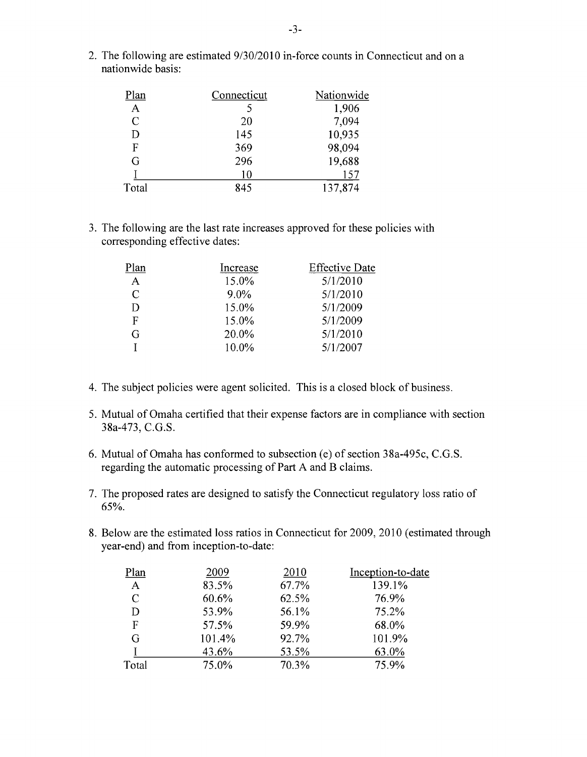| Plan  | Connecticut | Nationwide |
|-------|-------------|------------|
| A     |             | 1,906      |
| C     | 20          | 7,094      |
| D     | 145         | 10,935     |
| F     | 369         | 98,094     |
| G     | 296         | 19,688     |
|       | 10          | 157        |
| Total | 845         | 137,874    |

2. The following are estimated 9/30/2010 in-force counts in Connecticut and on a nationwide basis:

3. The following are the last rate increases approved for these policies with corresponding effective dates:

| Plan         | Increase | <b>Effective Date</b> |
|--------------|----------|-----------------------|
| $\mathbf{A}$ | 15.0%    | 5/1/2010              |
| C            | $9.0\%$  | 5/1/2010              |
| D            | 15.0%    | 5/1/2009              |
| F            | 15.0%    | 5/1/2009              |
| G            | 20.0%    | 5/1/2010              |
|              | 10.0%    | 5/1/2007              |

- 4. The subject policies were agent solicited. This is a closed block of business.
- 5. Mutual of Omaha certified that their expense factors are in compliance with section 38a-473, C.G.S.
- 6. Mutual of Omaha has conformed to subsection  $(e)$  of section 38a-495c, C.G.S. regarding the automatic processing of Part A and B claims.
- 7. The proposed rates are designed to satisfy the Connecticut regulatory loss ratio of 65%.
- 8. Below are the estimated loss ratios in Connecticut for 2009, 2010 (estimated through year-end) and from inception-to-date:

| Plan         | 2009   | 2010  | Inception-to-date |
|--------------|--------|-------|-------------------|
| $\mathbf{A}$ | 83.5%  | 67.7% | 139.1%            |
| C            | 60.6%  | 62.5% | 76.9%             |
| D            | 53.9%  | 56.1% | 75.2%             |
| F            | 57.5%  | 59.9% | 68.0%             |
| G            | 101.4% | 92.7% | 101.9%            |
|              | 43.6%  | 53.5% | 63.0%             |
| Total        | 75.0%  | 70.3% | 75.9%             |